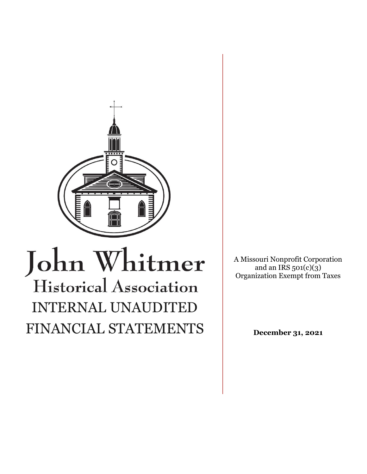

# John Whitmer Historical Association INTERNAL UNAUDITED FINANCIAL STATEMENTS

A Missouri Nonprofit Corporation and an IRS  $501(c)(3)$ Organization Exempt from Taxes

**December 31, 2021**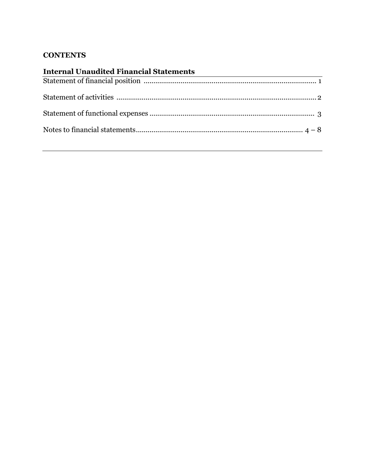# **CONTENTS**

| <b>Internal Unaudited Financial Statements</b> |  |
|------------------------------------------------|--|
|                                                |  |
|                                                |  |
|                                                |  |
|                                                |  |
|                                                |  |
|                                                |  |
|                                                |  |
|                                                |  |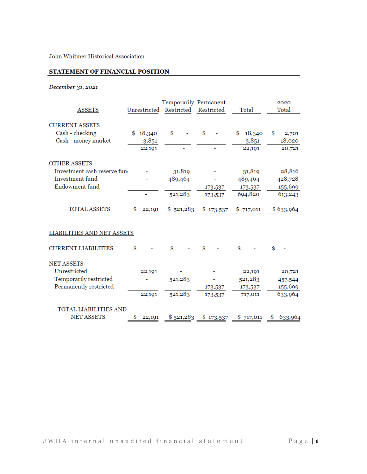John Whitmer Historical Association

#### STATEMENT OF FINANCIAL POSITION

## December 31, 2021

| <b>ASSETS</b>               | Unrestricted | Temporarily Permanent<br>Restricted | Restricted                          | Total        | 2020<br>Total |
|-----------------------------|--------------|-------------------------------------|-------------------------------------|--------------|---------------|
| <b>CURRENT ASSETS</b>       |              |                                     |                                     |              |               |
| Cash - checking             | \$18,340     | \$                                  | \$                                  | 18,340<br>\$ | \$<br>2,701   |
| Cash - money market         | 3,851        |                                     |                                     | 3,851        | 18,020        |
|                             | 22,191       |                                     |                                     | 22,191       | 20,721        |
| <b>OTHER ASSETS</b>         |              |                                     |                                     |              |               |
| Investment cash reserve fun |              | 31,819                              |                                     | 31,819       | 28,816        |
| Investment fund             |              | 489,464                             |                                     | 489,464      | 428,728       |
| Endowment fund              |              |                                     | 173,537                             | 173,537      | 155,699       |
|                             |              | 521,283                             | 173,537                             | 694,820      | 613,243       |
| <b>TOTAL ASSETS</b>         | 22,191       |                                     | $$ 521,283$ $$ 173,537$ $$ 717,011$ |              | \$633,964     |
| LIABILITIES AND NET ASSETS  |              |                                     |                                     |              |               |
| <b>CURRENT LIABILITIES</b>  | \$           | \$                                  | \$                                  | \$           | \$            |
| <b>NET ASSETS</b>           |              |                                     |                                     |              |               |
| Unrestricted                | 22,191       |                                     |                                     | 22,191       | 20,721        |
| Temporarily restricted      |              | 521,283                             |                                     | 521,283      | 457,544       |
| Permanently restricted      |              |                                     | 173,537                             | 173,537      | 155,699       |
|                             | 22,191       | 521,283                             | 173,537                             | 717,011      | 633,964       |
| TOTAL LIABILITIES AND       |              |                                     |                                     |              |               |
| <b>NET ASSETS</b>           | 22,191       | \$521,283                           | \$173,537                           | \$717,011    | 633,964<br>s  |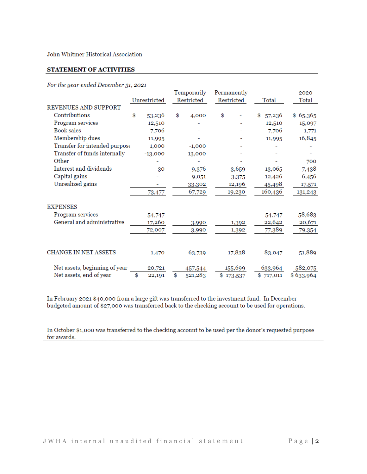John Whitmer Historical Association

#### STATEMENT OF ACTIVITIES

#### For the year ended December 31, 2021

|                               |              | Temporarily   | Permanently |           |              | 2020      |
|-------------------------------|--------------|---------------|-------------|-----------|--------------|-----------|
|                               | Unrestricted | Restricted    | Restricted  |           | Total        | Total     |
| <b>REVENUES AND SUPPORT</b>   |              |               |             |           |              |           |
| Contributions                 | \$<br>53,236 | \$<br>4,000   | \$          |           | 57,236<br>\$ | \$65,365  |
| Program services              | 12,510       |               |             |           | 12,510       | 15,097    |
| Book sales                    | 7,706        |               |             |           | 7,706        | 1,771     |
| Membership dues               | 11,995       |               |             |           | 11,995       | 16,845    |
| Transfer for intended purpose | 1,000        | $-1,000$      |             |           |              |           |
| Transfer of funds internally  | $-13,000$    | 13,000        |             |           |              |           |
| Other                         |              |               |             |           |              | 700       |
| Interest and dividends        | 30           | 9,376         |             | 3,659     | 13,065       | 7,438     |
| Capital gains                 |              | 9,051         |             | 3,375     | 12,426       | 6,456     |
| Unrealized gains              | ۰            | 33,302        |             | 12,196    | 45,498       | 17,571    |
|                               | 73,477       | 67,729        |             | 19,230    | 160,436      | 131,243   |
| <b>EXPENSES</b>               |              |               |             |           |              |           |
| Program services              | 54,747       |               |             |           | 54,747       | 58,683    |
| General and administrative    | 17,260       | 3,990         |             | 1,392     | 22,642       | 20,671    |
|                               | 72,007       | 3,990         |             | 1,392     | 77,389       | 79,354    |
| <b>CHANGE IN NET ASSETS</b>   | 1,470        | 63,739        |             | 17,838    | 83,047       | 51,889    |
|                               |              |               |             |           |              |           |
| Net assets, beginning of year | 20,721       | 457,544       |             | 155,699   | 633,964      | 582,075   |
| Net assets, end of year       | \$<br>22,191 | \$<br>521,283 |             | \$173,537 | \$717,011    | \$633,964 |

In February 2021 \$40,000 from a large gift was transferred to the investment fund. In December budgeted amount of \$27,000 was transferred back to the checking account to be used for operations.

In October \$1,000 was transferred to the checking account to be used per the donor's requested purpose for awards.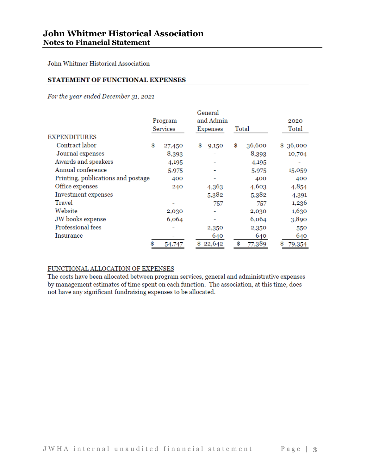John Whitmer Historical Association

#### STATEMENT OF FUNCTIONAL EXPENSES

For the year ended December 31, 2021

|                                    |                            | General<br>and Admin |       |        |               |
|------------------------------------|----------------------------|----------------------|-------|--------|---------------|
|                                    | Program<br><b>Services</b> | <b>Expenses</b>      | Total |        | 2020<br>Total |
| EXPENDITURES                       |                            |                      |       |        |               |
| Contract labor                     | \$<br>27,450               | \$<br>9,150          | \$    | 36,600 | \$<br>36,000  |
| Journal expenses                   | 8,393                      |                      |       | 8,393  | 10,704        |
| Awards and speakers                | 4,195                      |                      |       | 4,195  |               |
| Annual conference                  | 5,975                      |                      |       | 5,975  | 15,059        |
| Printing, publications and postage | 400                        |                      |       | 400    | 400           |
| Office expenses                    | 240                        | 4,363                |       | 4,603  | 4,854         |
| Investment expenses                |                            | 5,382                |       | 5,382  | 4,391         |
| Travel                             |                            | 757                  |       | 757    | 1,236         |
| Website                            | 2,030                      |                      |       | 2,030  | 1,630         |
| JW books expense                   | 6,064                      |                      |       | 6,064  | 3,890         |
| Professional fees                  |                            | 2,350                |       | 2,350  | 550           |
| Insurance                          |                            | 640                  |       | 640    | 640           |
|                                    | 54,747                     | \$<br>22,642         | \$    | 77,389 | \$<br>79,354  |

#### FUNCTIONAL ALLOCATION OF EXPENSES

The costs have been allocated between program services, general and administrative expenses by management estimates of time spent on each function. The association, at this time, does not have any significant fundraising expenses to be allocated.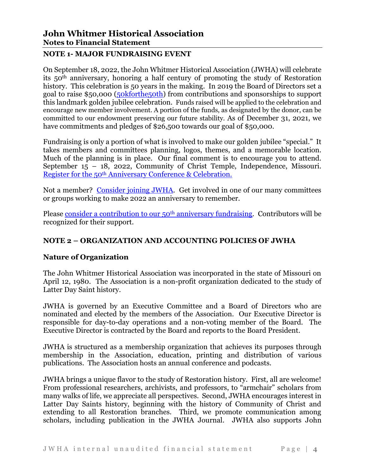## **NOTE 1- MAJOR FUNDRAISING EVENT**

On September 18, 2022, the John Whitmer Historical Association (JWHA) will celebrate its 50th anniversary, honoring a half century of promoting the study of Restoration history. This celebration is 50 years in the making. In 2019 the Board of Directors set a goal to raise \$50,000 [\(50kforthe50th\)](https://www.jwha.info/50kforthe50th) from contributions and sponsorships to support this landmark golden jubilee celebration. Funds raised will be applied to the celebration and encourage new member involvement. A portion of the funds, as designated by the donor, can be committed to our endowment preserving our future stability. As of December 31, 2021, we have commitments and pledges of \$26,500 towards our goal of \$50,000.

Fundraising is only a portion of what is involved to make our golden jubilee "special." It takes members and committees planning, logos, themes, and a memorable location. Much of the planning is in place. Our final comment is to encourage you to attend. September 15 – 18, 2022, Community of Christ Temple, Independence, Missouri. Register for the 50th [Anniversary Conference & Celebration.](https://cvent.me/a85MQD)

Not a member? [Consider](https://www.jwha.info/membership/) joining JWHA. Get involved in one of our many committees or groups working to make 2022 an anniversary to remember.

Please consider a contribution to our 50<sup>th</sup> [anniversary fundraising.](https://www.jwha.info/50kforthe50th) Contributors will be recognized for their support.

# **NOTE 2 – ORGANIZATION AND ACCOUNTING POLICIES OF JWHA**

# **Nature of Organization**

The John Whitmer Historical Association was incorporated in the state of Missouri on April 12, 1980. The Association is a non-profit organization dedicated to the study of Latter Day Saint history.

JWHA is governed by an Executive Committee and a Board of Directors who are nominated and elected by the members of the Association. Our Executive Director is responsible for day-to-day operations and a non-voting member of the Board. The Executive Director is contracted by the Board and reports to the Board President.

JWHA is structured as a membership organization that achieves its purposes through membership in the Association, education, printing and distribution of various publications. The Association hosts an annual conference and podcasts.

JWHA brings a unique flavor to the study of Restoration history. First, all are welcome! From professional researchers, archivists, and professors, to "armchair" scholars from many walks of life, we appreciate all perspectives. Second, JWHA encourages interest in Latter Day Saints history, beginning with the history of Community of Christ and extending to all Restoration branches. Third, we promote communication among scholars, including publication in the JWHA Journal. JWHA also supports John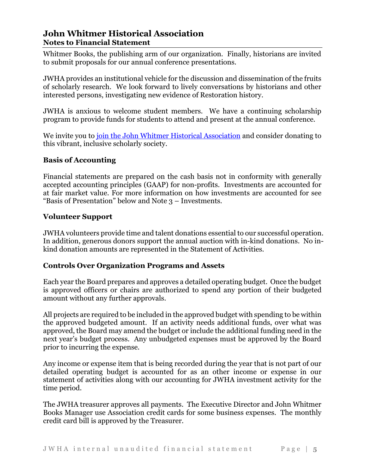# **John Whitmer Historical Association Notes to Financial Statement**

Whitmer Books, the publishing arm of our organization. Finally, historians are invited to submit proposals for our annual conference presentations.

JWHA provides an institutional vehicle for the discussion and dissemination of the fruits of scholarly research. We look forward to lively conversations by historians and other interested persons, investigating new evidence of Restoration history.

JWHA is anxious to welcome student members. We have a continuing scholarship program to provide funds for students to attend and present at the annual conference.

We invite you to [join the John Whitmer Historical Association](https://www.jwha.info/membership/) and consider donating to this vibrant, inclusive scholarly society.

## **Basis of Accounting**

Financial statements are prepared on the cash basis not in conformity with generally accepted accounting principles (GAAP) for non-profits. Investments are accounted for at fair market value. For more information on how investments are accounted for see "Basis of Presentation" below and Note 3 – Investments.

#### **Volunteer Support**

JWHA volunteers provide time and talent donations essential to our successful operation. In addition, generous donors support the annual auction with in-kind donations. No inkind donation amounts are represented in the Statement of Activities.

#### **Controls Over Organization Programs and Assets**

Each year the Board prepares and approves a detailed operating budget. Once the budget is approved officers or chairs are authorized to spend any portion of their budgeted amount without any further approvals.

All projects are required to be included in the approved budget with spending to be within the approved budgeted amount. If an activity needs additional funds, over what was approved, the Board may amend the budget or include the additional funding need in the next year's budget process. Any unbudgeted expenses must be approved by the Board prior to incurring the expense.

Any income or expense item that is being recorded during the year that is not part of our detailed operating budget is accounted for as an other income or expense in our statement of activities along with our accounting for JWHA investment activity for the time period.

The JWHA treasurer approves all payments. The Executive Director and John Whitmer Books Manager use Association credit cards for some business expenses. The monthly credit card bill is approved by the Treasurer.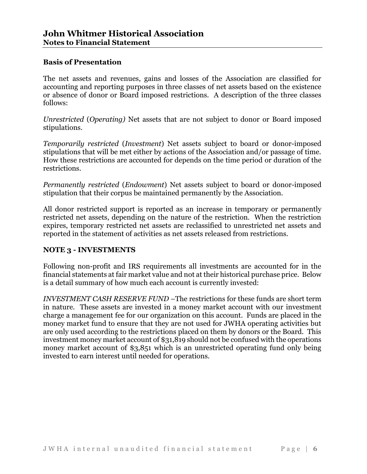#### **Basis of Presentation**

The net assets and revenues, gains and losses of the Association are classified for accounting and reporting purposes in three classes of net assets based on the existence or absence of donor or Board imposed restrictions. A description of the three classes follows:

*Unrestricted* (*Operating)* Net assets that are not subject to donor or Board imposed stipulations.

*Temporarily restricted* (*Investment*) Net assets subject to board or donor-imposed stipulations that will be met either by actions of the Association and/or passage of time. How these restrictions are accounted for depends on the time period or duration of the restrictions.

*Permanently restricted* (*Endowment*) Net assets subject to board or donor-imposed stipulation that their corpus be maintained permanently by the Association.

All donor restricted support is reported as an increase in temporary or permanently restricted net assets, depending on the nature of the restriction. When the restriction expires, temporary restricted net assets are reclassified to unrestricted net assets and reported in the statement of activities as net assets released from restrictions.

## **NOTE 3 - INVESTMENTS**

Following non-profit and IRS requirements all investments are accounted for in the financial statements at fair market value and not at their historical purchase price. Below is a detail summary of how much each account is currently invested:

*INVESTMENT CASH RESERVE FUND –*The restrictions for these funds are short term in nature. These assets are invested in a money market account with our investment charge a management fee for our organization on this account. Funds are placed in the money market fund to ensure that they are not used for JWHA operating activities but are only used according to the restrictions placed on them by donors or the Board. This investment money market account of \$31,819 should not be confused with the operations money market account of \$3,851 which is an unrestricted operating fund only being invested to earn interest until needed for operations.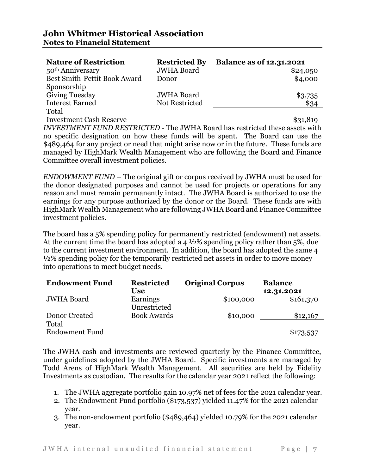| <b>Nature of Restriction</b>        | <b>Restricted By</b> | <b>Balance as of 12.31.2021</b> |
|-------------------------------------|----------------------|---------------------------------|
| 50 <sup>th</sup> Anniversary        | <b>JWHA</b> Board    | \$24,050                        |
| <b>Best Smith-Pettit Book Award</b> | Donor                | \$4,000                         |
| Sponsorship                         |                      |                                 |
| <b>Giving Tuesday</b>               | <b>JWHA Board</b>    | \$3,735                         |
| <b>Interest Earned</b>              | Not Restricted       | \$34                            |
| Total                               |                      |                                 |

Investment Cash Reserve **\$31,819** 

*INVESTMENT FUND RESTRICTED* - The JWHA Board has restricted these assets with no specific designation on how these funds will be spent. The Board can use the \$489,464 for any project or need that might arise now or in the future. These funds are managed by HighMark Wealth Management who are following the Board and Finance Committee overall investment policies.

*ENDOWMENT FUND –* The original gift or corpus received by JWHA must be used for the donor designated purposes and cannot be used for projects or operations for any reason and must remain permanently intact. The JWHA Board is authorized to use the earnings for any purpose authorized by the donor or the Board. These funds are with HighMark Wealth Management who are following JWHA Board and Finance Committee investment policies.

The board has a 5% spending policy for permanently restricted (endowment) net assets. At the current time the board has adopted a 4 ½% spending policy rather than 5%, due to the current investment environment. In addition, the board has adopted the same 4 ½% spending policy for the temporarily restricted net assets in order to move money into operations to meet budget needs.

| <b>Endowment Fund</b> | <b>Restricted</b>  | <b>Original Corpus</b> | <b>Balance</b> |
|-----------------------|--------------------|------------------------|----------------|
|                       | <b>Use</b>         |                        | 12.31.2021     |
| <b>JWHA Board</b>     | Earnings           | \$100,000              | \$161,370      |
|                       | Unrestricted       |                        |                |
| Donor Created         | <b>Book Awards</b> | \$10,000               | \$12,167       |
| Total                 |                    |                        |                |
| <b>Endowment Fund</b> |                    |                        | \$173,537      |

The JWHA cash and investments are reviewed quarterly by the Finance Committee, under guidelines adopted by the JWHA Board. Specific investments are managed by Todd Arens of HighMark Wealth Management. All securities are held by Fidelity Investments as custodian. The results for the calendar year 2021 reflect the following:

- 1. The JWHA aggregate portfolio gain 10.97% net of fees for the 2021 calendar year.
- 2. The Endowment Fund portfolio (\$173,537) yielded 11.47% for the 2021 calendar year.
- 3. The non-endowment portfolio (\$489,464) yielded 10.79% for the 2021 calendar year.